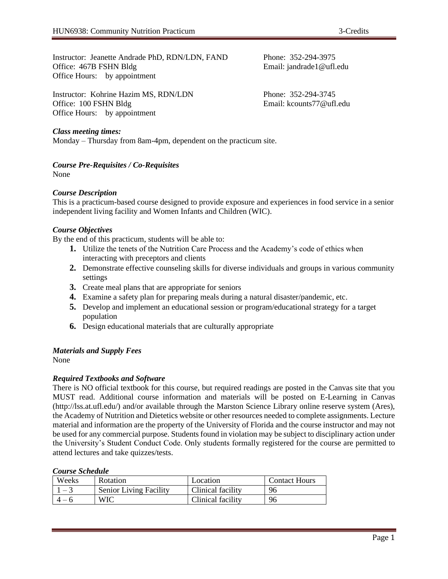Instructor: Jeanette Andrade PhD, RDN/LDN, FAND Phone: 352-294-3975 Office: 467B FSHN Bldg Email: jandrade1@ufl.edu Office Hours: by appointment

Instructor: Kohrine Hazim MS, RDN/LDN Phone: 352-294-3745 Office: 100 FSHN Bldg Email: kcounts77@ufl.edu Office Hours: by appointment

# *Class meeting times:*

Monday – Thursday from 8am-4pm, dependent on the practicum site.

# *Course Pre-Requisites / Co-Requisites*

None

# *Course Description*

This is a practicum-based course designed to provide exposure and experiences in food service in a senior independent living facility and Women Infants and Children (WIC).

# *Course Objectives*

By the end of this practicum, students will be able to:

- **1.** Utilize the tenets of the Nutrition Care Process and the Academy's code of ethics when interacting with preceptors and clients
- **2.** Demonstrate effective counseling skills for diverse individuals and groups in various community settings
- **3.** Create meal plans that are appropriate for seniors
- **4.** Examine a safety plan for preparing meals during a natural disaster/pandemic, etc.
- **5.** Develop and implement an educational session or program/educational strategy for a target population
- **6.** Design educational materials that are culturally appropriate

# *Materials and Supply Fees*

None

# *Required Textbooks and Software*

There is NO official textbook for this course, but required readings are posted in the Canvas site that you MUST read. Additional course information and materials will be posted on E-Learning in Canvas (http://lss.at.ufl.edu/) and/or available through the Marston Science Library online reserve system (Ares), the Academy of Nutrition and Dietetics website or other resources needed to complete assignments. Lecture material and information are the property of the University of Florida and the course instructor and may not be used for any commercial purpose. Students found in violation may be subject to disciplinary action under the University's Student Conduct Code. Only students formally registered for the course are permitted to attend lectures and take quizzes/tests.

### *Course Schedule*

| Weeks | <b>Rotation</b>               | Location          | <b>Contact Hours</b> |
|-------|-------------------------------|-------------------|----------------------|
|       | <b>Senior Living Facility</b> | Clinical facility | 96                   |
|       | WIC                           | Clinical facility | 96                   |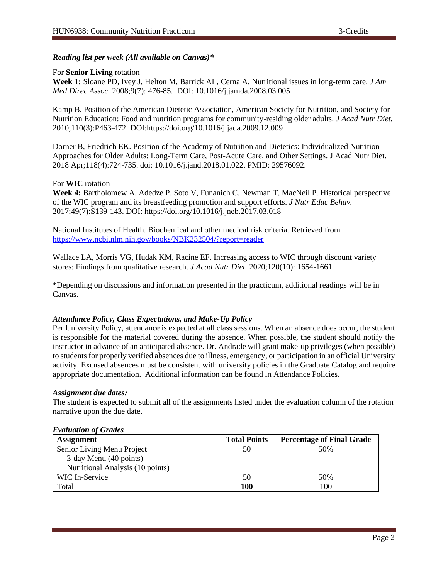# *Reading list per week (All available on Canvas)\**

#### For **Senior Living** rotation

**Week 1:** Sloane PD, Ivey J, Helton M, Barrick AL, Cerna A. Nutritional issues in long-term care. *J Am Med Direc Assoc.* 2008;9(7): 476-85. DOI: 10.1016/j.jamda.2008.03.005

Kamp B. Position of the American Dietetic Association, American Society for Nutrition, and Society for Nutrition Education: Food and nutrition programs for community-residing older adults. *J Acad Nutr Diet.*  2010;110(3):P463-472. DOI:https://doi.org/10.1016/j.jada.2009.12.009

Dorner B, Friedrich EK. Position of the Academy of Nutrition and Dietetics: Individualized Nutrition Approaches for Older Adults: Long-Term Care, Post-Acute Care, and Other Settings. J Acad Nutr Diet. 2018 Apr;118(4):724-735. doi: 10.1016/j.jand.2018.01.022. PMID: 29576092.

### For **WIC** rotation

**Week 4:** Bartholomew A, Adedze P, Soto V, Funanich C, Newman T, MacNeil P. Historical perspective of the WIC program and its breastfeeding promotion and support efforts. *J Nutr Educ Behav.*  2017;49(7):S139-143. DOI: https://doi.org/10.1016/j.jneb.2017.03.018

National Institutes of Health. Biochemical and other medical risk criteria. Retrieved from <https://www.ncbi.nlm.nih.gov/books/NBK232504/?report=reader>

Wallace LA, Morris VG, Hudak KM, Racine EF. Increasing access to WIC through discount variety stores: Findings from qualitative research. *J Acad Nutr Diet.* 2020;120(10): 1654-1661.

\*Depending on discussions and information presented in the practicum, additional readings will be in Canvas.

### *Attendance Policy, Class Expectations, and Make-Up Policy*

Per University Policy, attendance is expected at all class sessions. When an absence does occur, the student is responsible for the material covered during the absence. When possible, the student should notify the instructor in advance of an anticipated absence. Dr. Andrade will grant make-up privileges (when possible) to students for properly verified absences due to illness, emergency, or participation in an official University activity. Excused absences must be consistent with university policies in the [Graduate Catalog](https://catalog.ufl.edu/graduate/?catoid=10&navoid=2020#attendance) and require appropriate documentation. Additional information can be found in [Attendance Policies.](https://catalog.ufl.edu/UGRD/academic-regulations/attendance-policies/)

#### *Assignment due dates:*

The student is expected to submit all of the assignments listed under the evaluation column of the rotation narrative upon the due date.

#### *Evaluation of Grades*

| <b>Assignment</b>                | <b>Total Points</b> | <b>Percentage of Final Grade</b> |
|----------------------------------|---------------------|----------------------------------|
| Senior Living Menu Project       | 50                  | 50%                              |
| 3-day Menu (40 points)           |                     |                                  |
| Nutritional Analysis (10 points) |                     |                                  |
| WIC In-Service                   | 50                  | 50%                              |
| Total                            | 100                 | 100                              |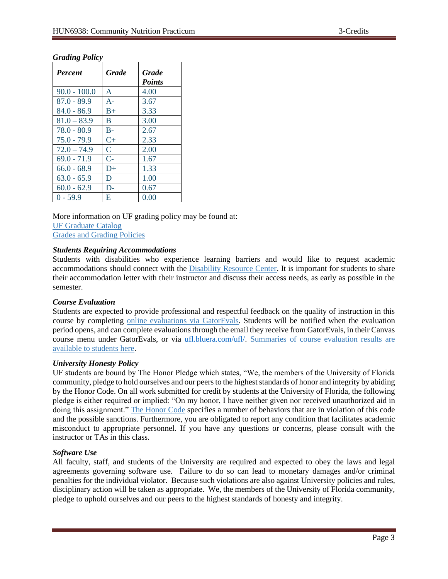# *Grading Policy*

| <b>Percent</b> | <b>Grade</b> | <b>Grade</b><br><b>Points</b> |
|----------------|--------------|-------------------------------|
| $90.0 - 100.0$ | A            | 4.00                          |
| $87.0 - 89.9$  | $A -$        | 3.67                          |
| $84.0 - 86.9$  | $B+$         | 3.33                          |
| $81.0 - 83.9$  | B            | 3.00                          |
| $78.0 - 80.9$  | $B -$        | 2.67                          |
| $75.0 - 79.9$  | $C+$         | 2.33                          |
| $72.0 - 74.9$  | $\mathsf{C}$ | 2.00                          |
| $69.0 - 71.9$  | $C-$         | 1.67                          |
| $66.0 - 68.9$  | $D+$         | 1.33                          |
| $63.0 - 65.9$  | D            | 1.00                          |
| $60.0 - 62.9$  | $D-$         | 0.67                          |
| $0 - 59.9$     | E            | 0.00                          |

More information on UF grading policy may be found at: [UF Graduate Catalog](https://catalog.ufl.edu/graduate/?catoid=10&navoid=2020#grades) [Grades and Grading Policies](https://catalog.ufl.edu/UGRD/academic-regulations/grades-grading-policies/)

### *Students Requiring Accommodations*

Students with disabilities who experience learning barriers and would like to request academic accommodations should connect with the [Disability Resource Center.](https://disability.ufl.edu/students/get-started/) It is important for students to share their accommodation letter with their instructor and discuss their access needs, as early as possible in the semester.

### *Course Evaluation*

Students are expected to provide professional and respectful feedback on the quality of instruction in this course by completing [online evaluations](https://gatorevals.aa.ufl.edu/) via GatorEvals. Students will be notified when the evaluation period opens, and can complete evaluations through the email they receive from GatorEvals, in their Canvas course menu under GatorEvals, or via [ufl.bluera.com/ufl/.](https://ufl.bluera.com/ufl/) [Summaries of course evaluation results are](https://gatorevals.aa.ufl.edu/public-results/)  [available to students here.](https://gatorevals.aa.ufl.edu/public-results/)

### *University Honesty Policy*

UF students are bound by The Honor Pledge which states, "We, the members of the University of Florida community, pledge to hold ourselves and our peers to the highest standards of honor and integrity by abiding by the Honor Code. On all work submitted for credit by students at the University of Florida, the following pledge is either required or implied: "On my honor, I have neither given nor received unauthorized aid in doing this assignment." [The Honor Code](https://sccr.dso.ufl.edu/process/student-conduct-code/) specifies a number of behaviors that are in violation of this code and the possible sanctions. Furthermore, you are obligated to report any condition that facilitates academic misconduct to appropriate personnel. If you have any questions or concerns, please consult with the instructor or TAs in this class.

### *Software Use*

All faculty, staff, and students of the University are required and expected to obey the laws and legal agreements governing software use. Failure to do so can lead to monetary damages and/or criminal penalties for the individual violator. Because such violations are also against University policies and rules, disciplinary action will be taken as appropriate. We, the members of the University of Florida community, pledge to uphold ourselves and our peers to the highest standards of honesty and integrity.